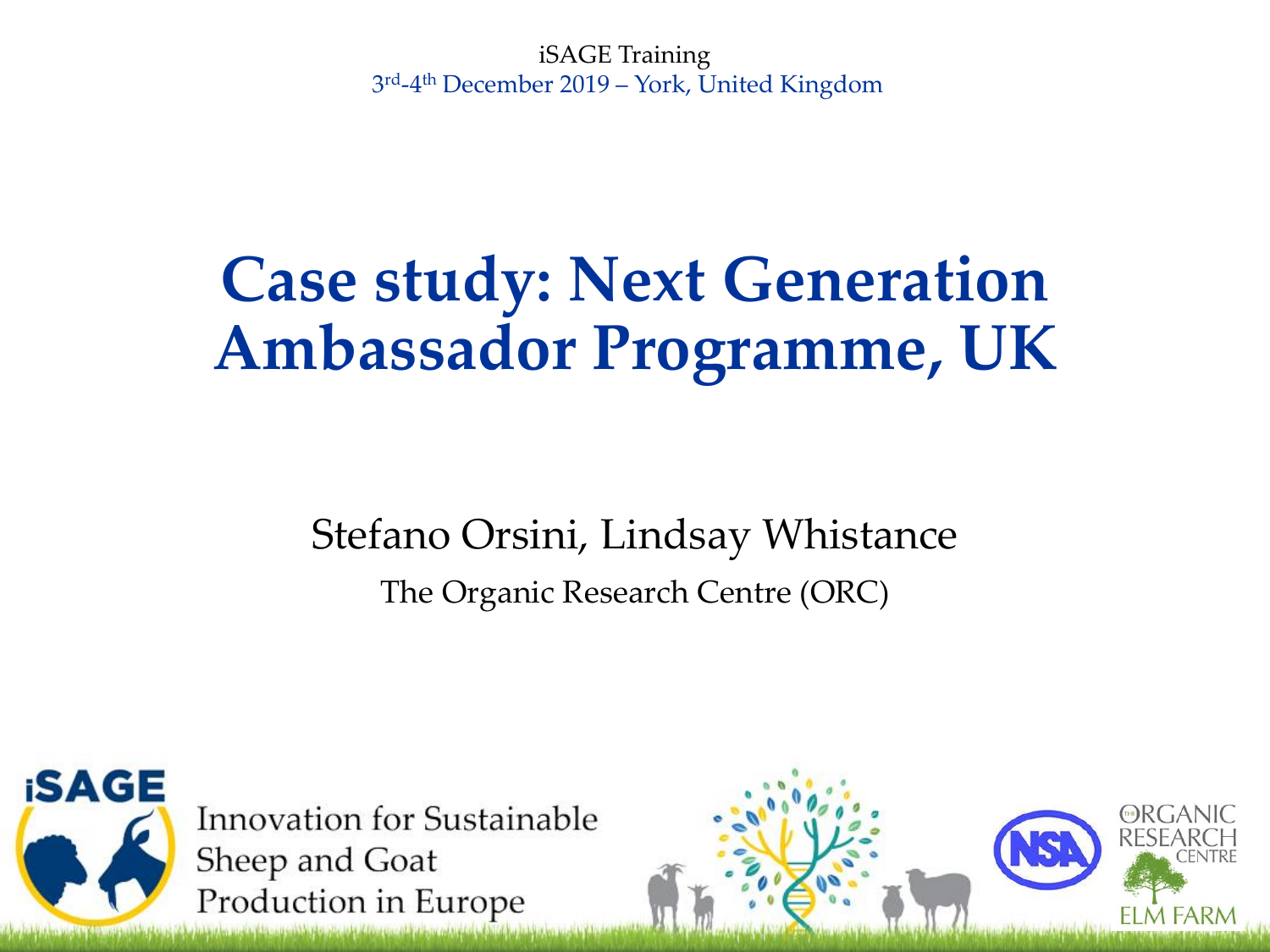iSAGE Training 3 rd-4 th December 2019 – York, United Kingdom

#### **Case study: Next Generation Ambassador Programme, UK**

Stefano Orsini, Lindsay Whistance The Organic Research Centre (ORC)



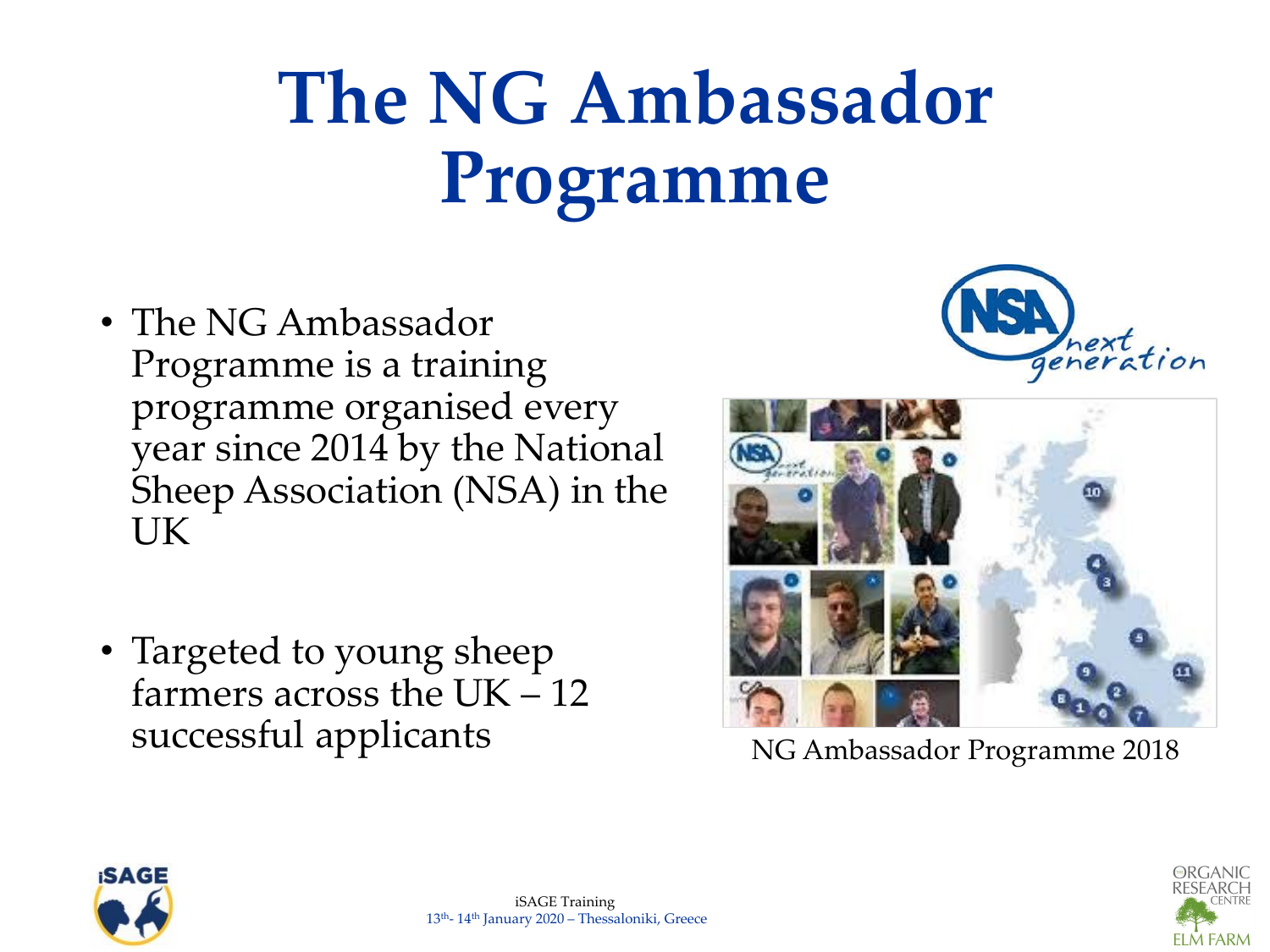# **The NG Ambassador Programme**

- The NG Ambassador Programme is a training programme organised every year since 2014 by the National Sheep Association (NSA) in the UK
- Targeted to young sheep farmers across the UK – 12 successful applicants





NG Ambassador Programme 2018



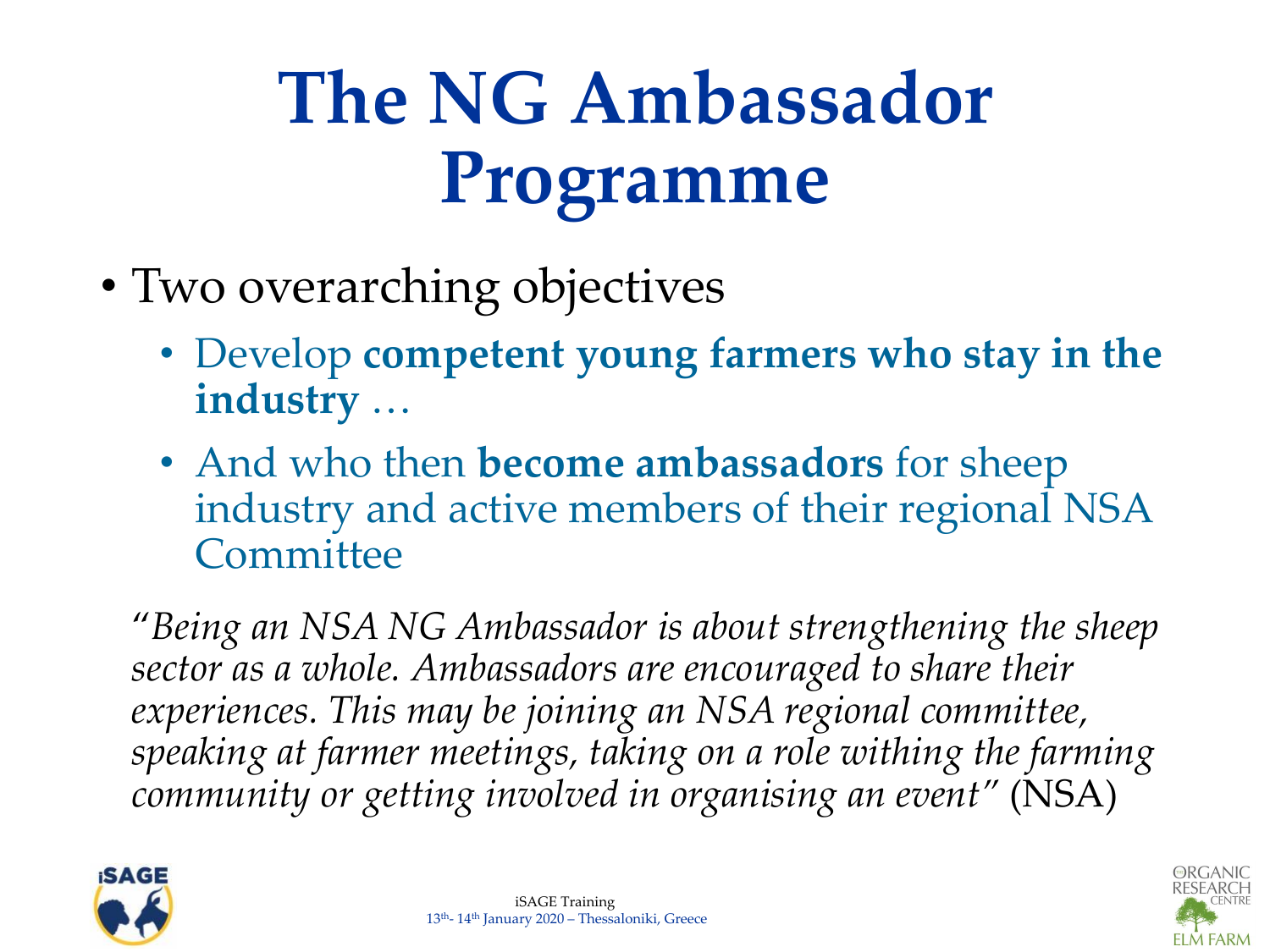# **The NG Ambassador Programme**

- Two overarching objectives
	- Develop **competent young farmers who stay in the industry** …
	- And who then **become ambassadors** for sheep industry and active members of their regional NSA **Committee**

"*Being an NSA NG Ambassador is about strengthening the sheep sector as a whole. Ambassadors are encouraged to share their experiences. This may be joining an NSA regional committee, speaking at farmer meetings, taking on a role withing the farming community or getting involved in organising an event"* (NSA)



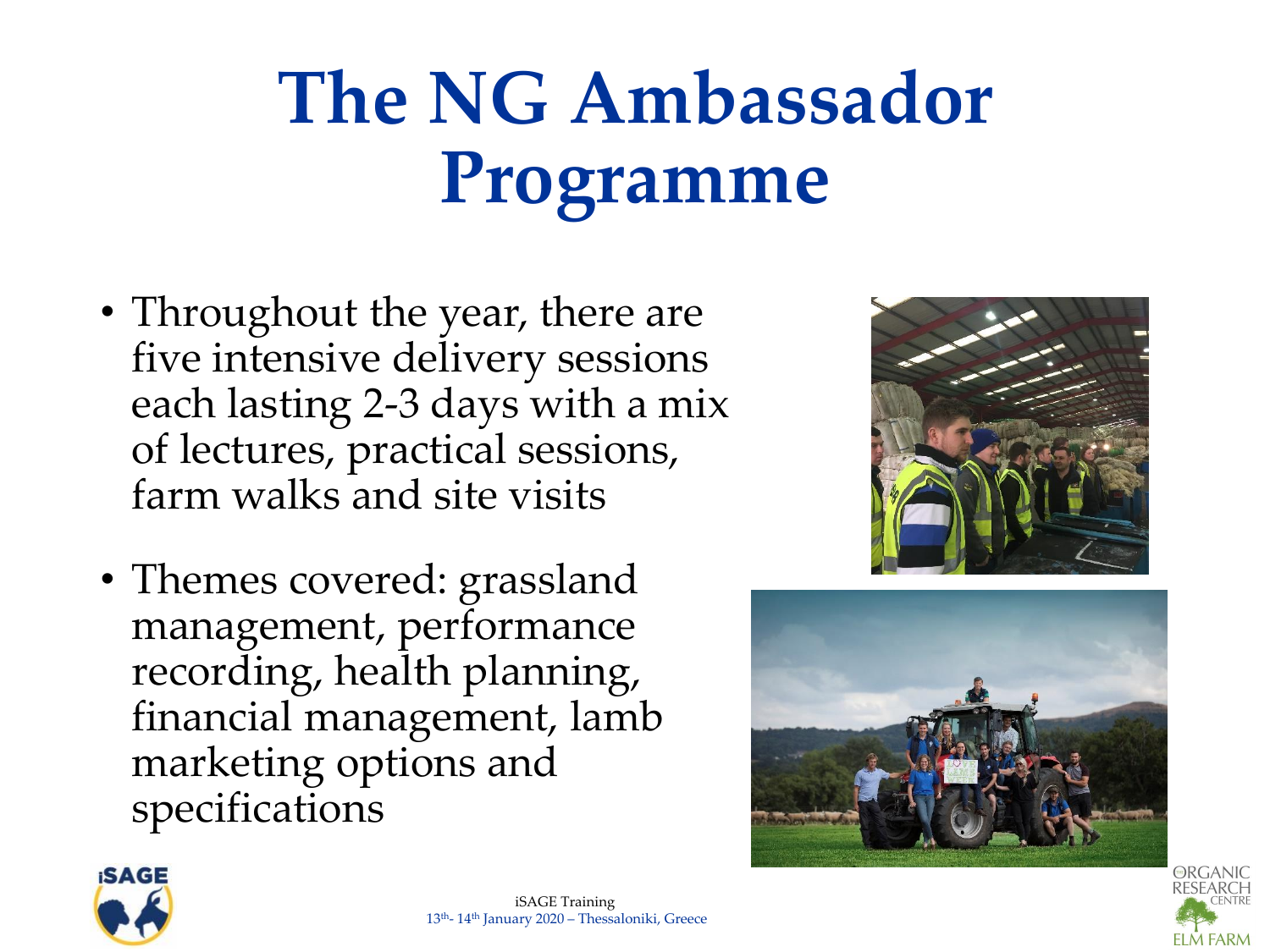## **The NG Ambassador Programme**

- Throughout the year, there are five intensive delivery sessions each lasting 2-3 days with a mix of lectures, practical sessions, farm walks and site visits
- Themes covered: grassland management, performance recording, health planning, financial management, lamb marketing options and specifications







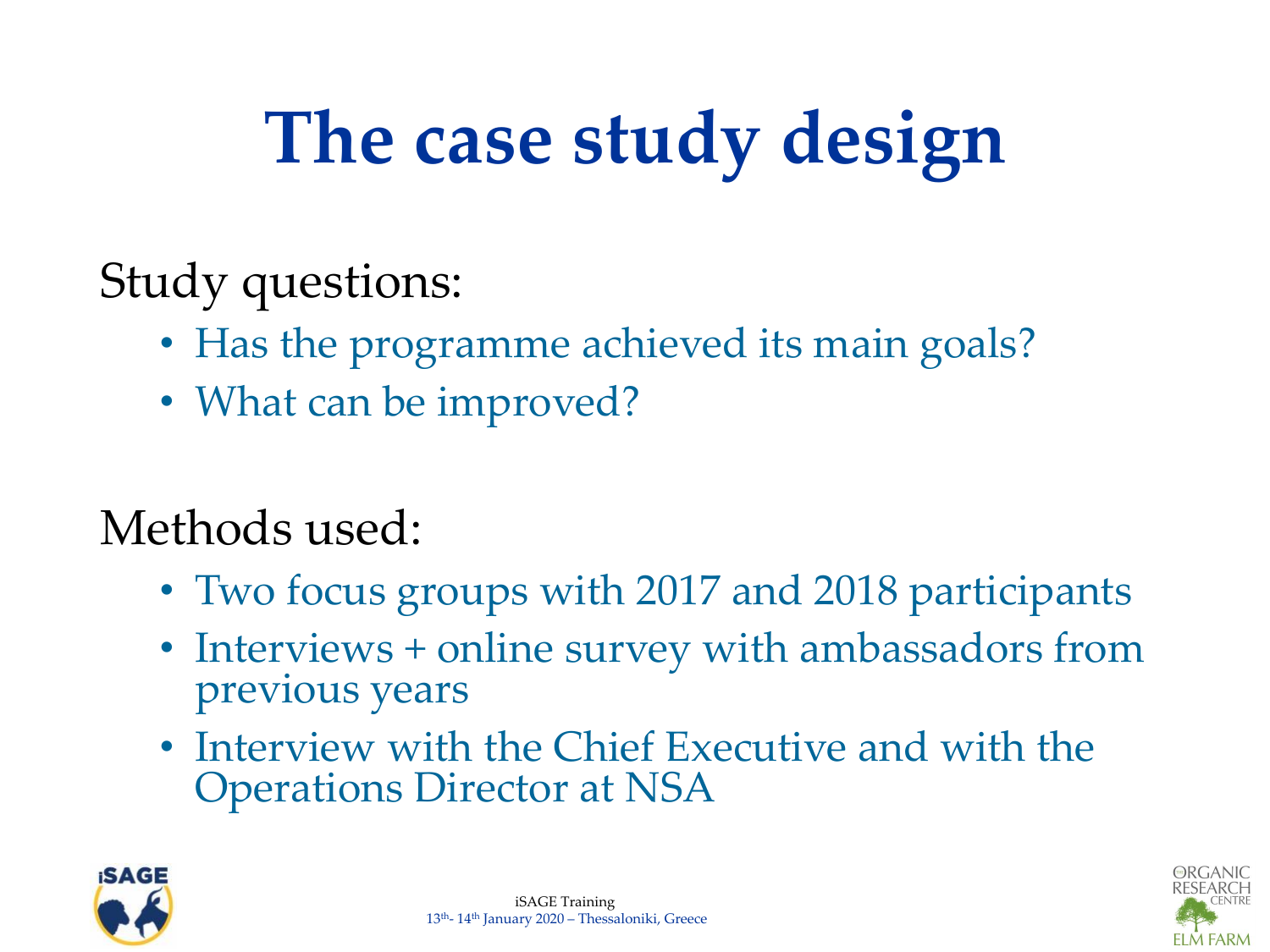# **The case study design**

Study questions:

- Has the programme achieved its main goals?
- What can be improved?

Methods used:

- Two focus groups with 2017 and 2018 participants
- Interviews + online survey with ambassadors from previous years
- Interview with the Chief Executive and with the Operations Director at NSA





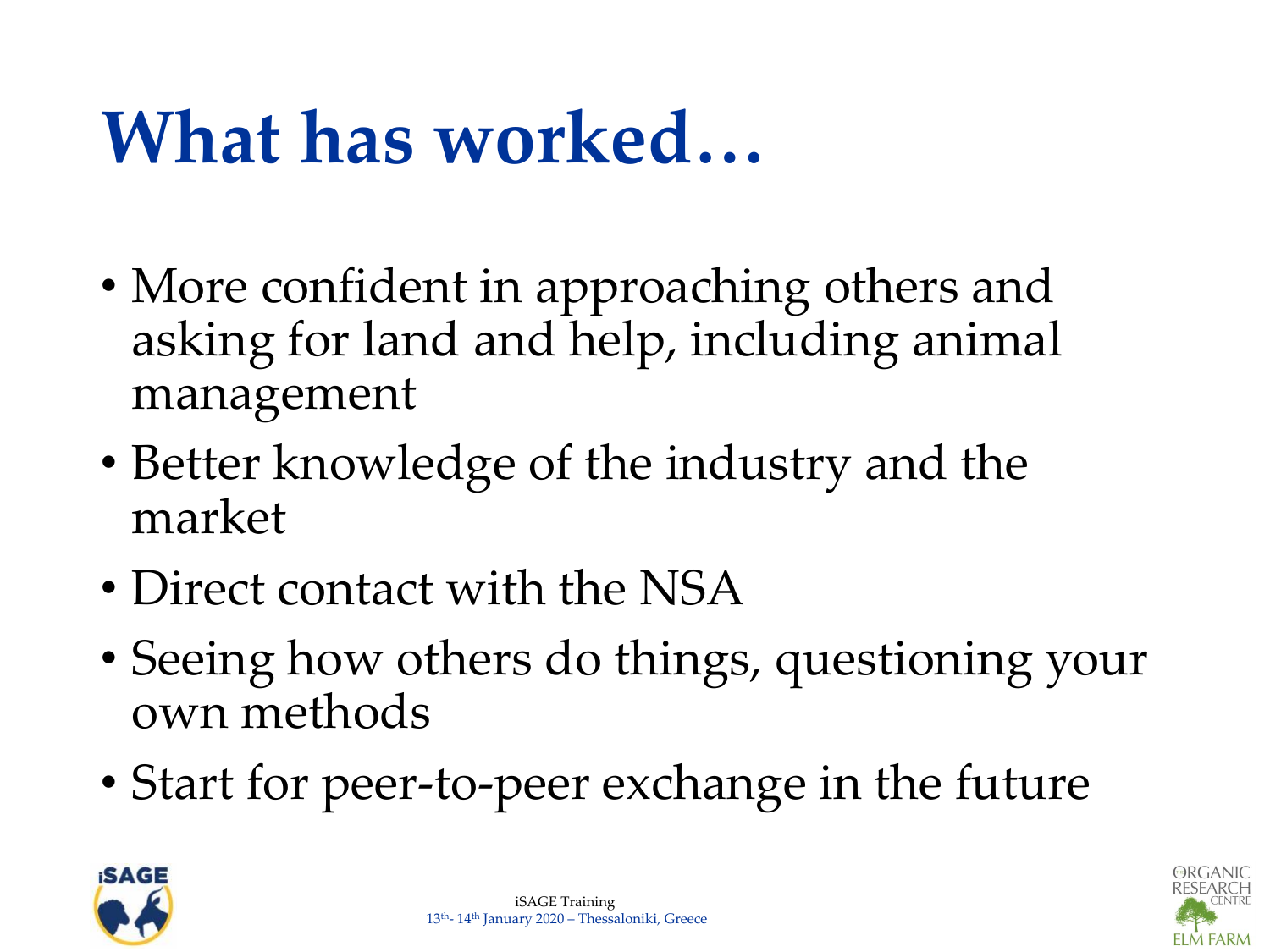### **What has worked…**

- More confident in approaching others and asking for land and help, including animal management
- Better knowledge of the industry and the market
- Direct contact with the NSA
- Seeing how others do things, questioning your own methods
- Start for peer-to-peer exchange in the future



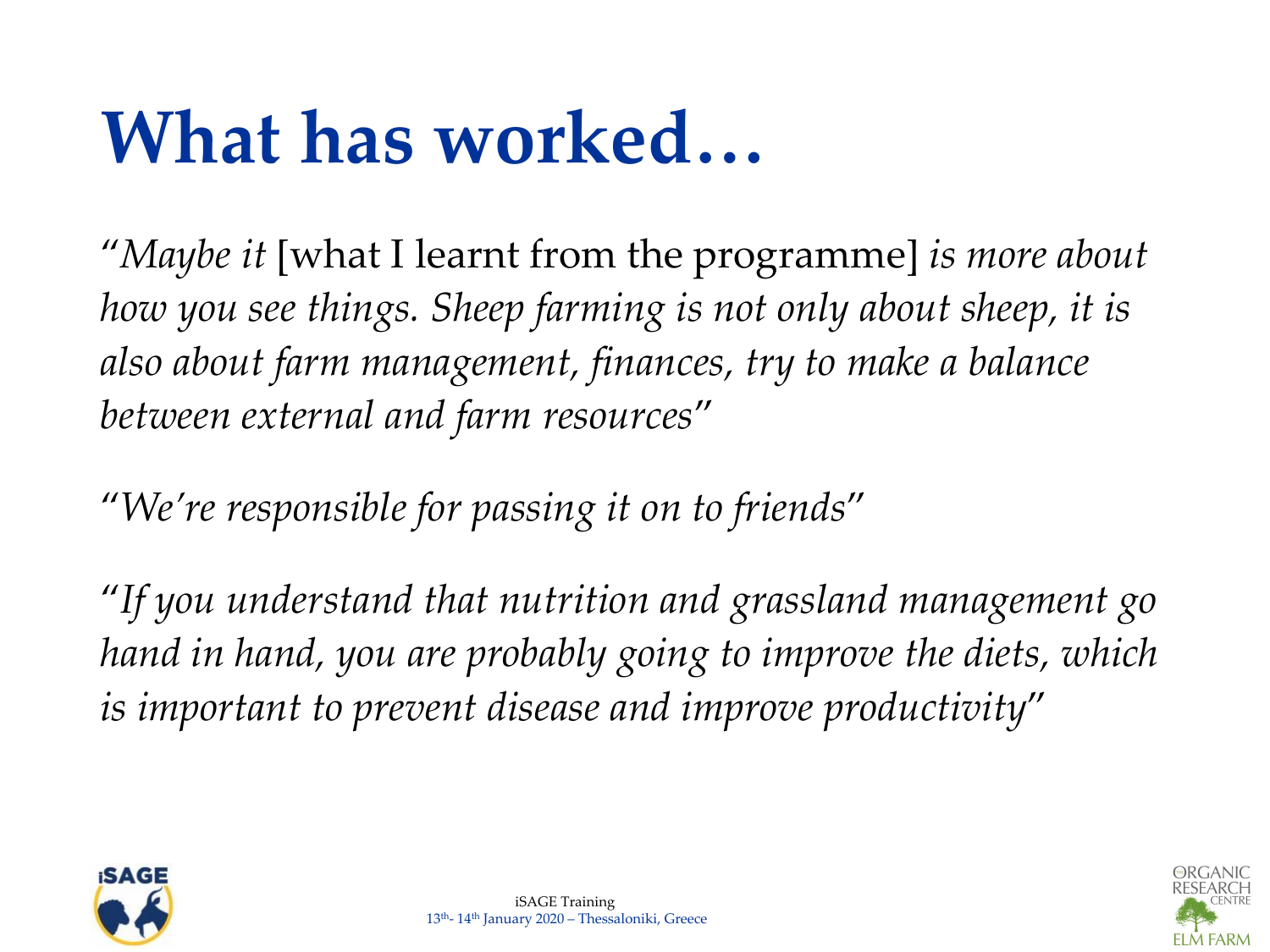### **What has worked…**

"*Maybe it* [what I learnt from the programme] *is more about how you see things. Sheep farming is not only about sheep, it is also about farm management, finances, try to make a balance between external and farm resources*"

"*We're responsible for passing it on to friends*"

"*If you understand that nutrition and grassland management go hand in hand, you are probably going to improve the diets, which is important to prevent disease and improve productivity*"



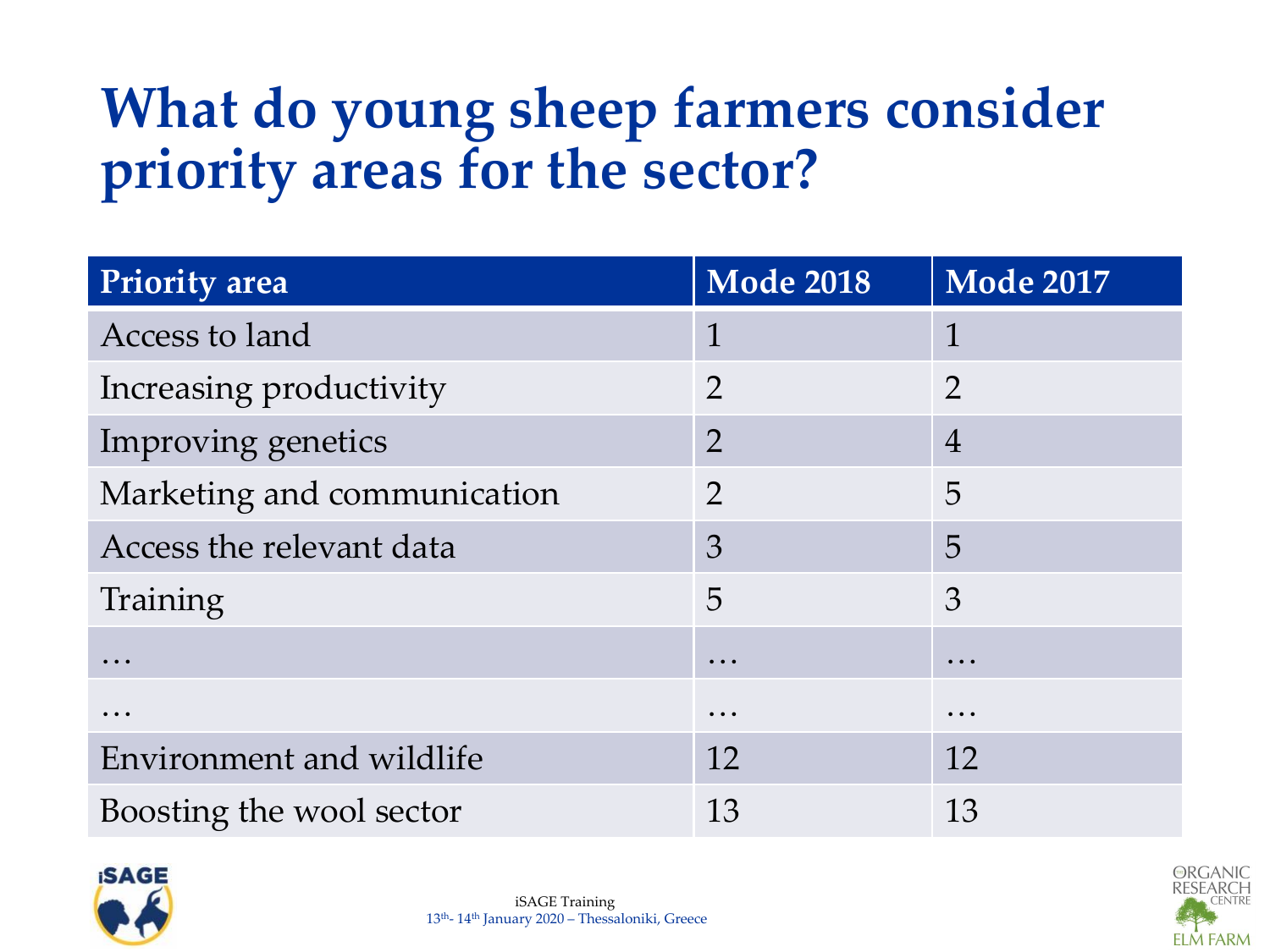#### **What do young sheep farmers consider priority areas for the sector?**

| Priority area               | <b>Mode 2018</b> | <b>Mode 2017</b>                                                          |
|-----------------------------|------------------|---------------------------------------------------------------------------|
| Access to land              | 1                | 1                                                                         |
| Increasing productivity     | $\overline{2}$   | $\overline{2}$                                                            |
| Improving genetics          | $\overline{2}$   | $\overline{4}$                                                            |
| Marketing and communication | $\overline{2}$   | $\overline{5}$                                                            |
| Access the relevant data    | 3                | 5                                                                         |
| Training                    | 5                | 3                                                                         |
|                             | $\cdots$         | $\bullet\hspace{0.1cm} \bullet\hspace{0.1cm}\bullet\hspace{0.1cm}\bullet$ |
|                             | $\cdots$         | $\bullet\hspace{0.1cm} \bullet\hspace{0.1cm}\bullet\hspace{0.1cm}\bullet$ |
| Environment and wildlife    | 12               | 12                                                                        |
| Boosting the wool sector    | 13               | 13                                                                        |



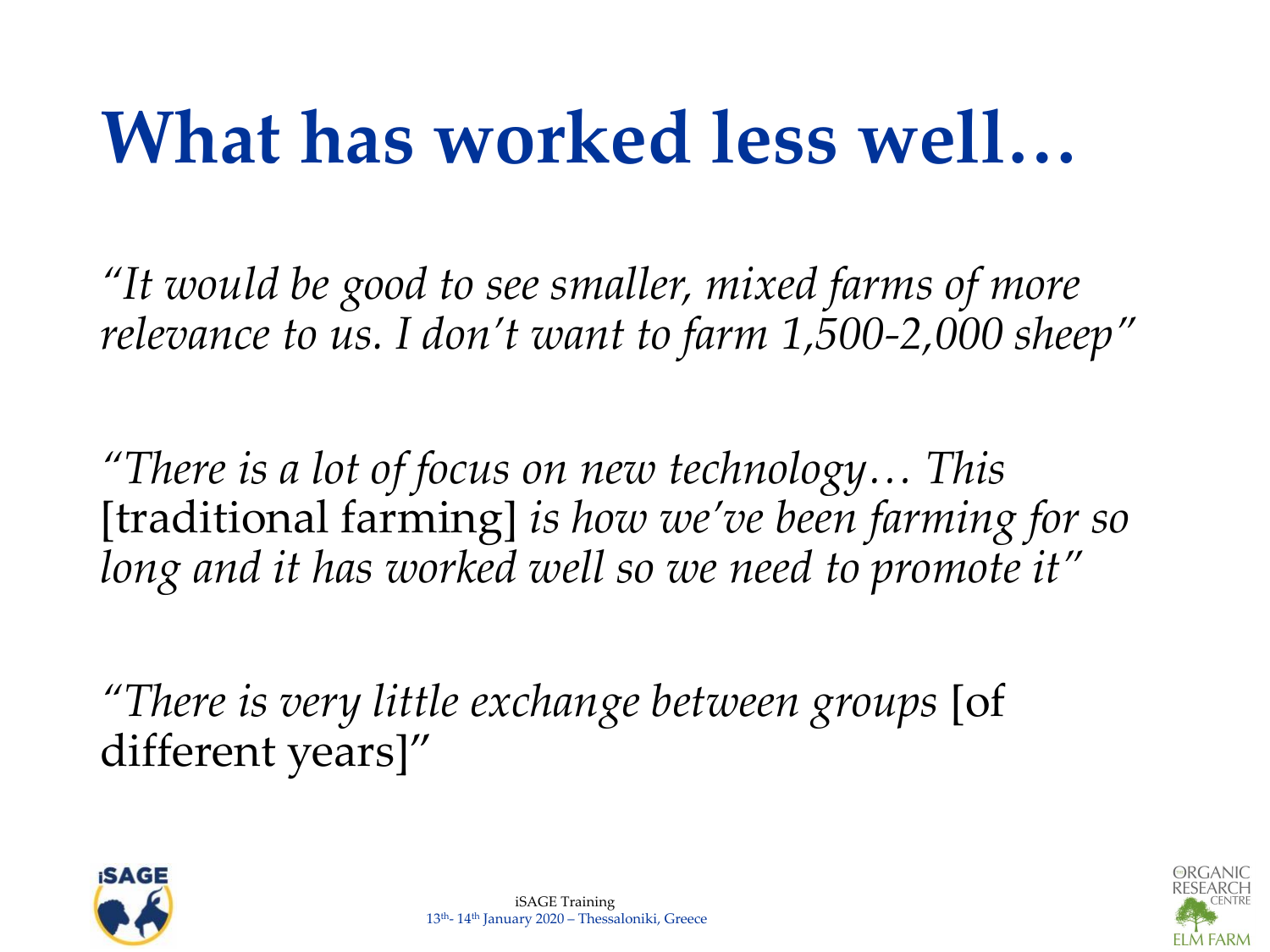### **What has worked less well…**

*"It would be good to see smaller, mixed farms of more relevance to us. I don't want to farm 1,500-2,000 sheep"*

*"There is a lot of focus on new technology… This*  [traditional farming] *is how we've been farming for so long and it has worked well so we need to promote it"*

*"There is very little exchange between groups* [of different years]"





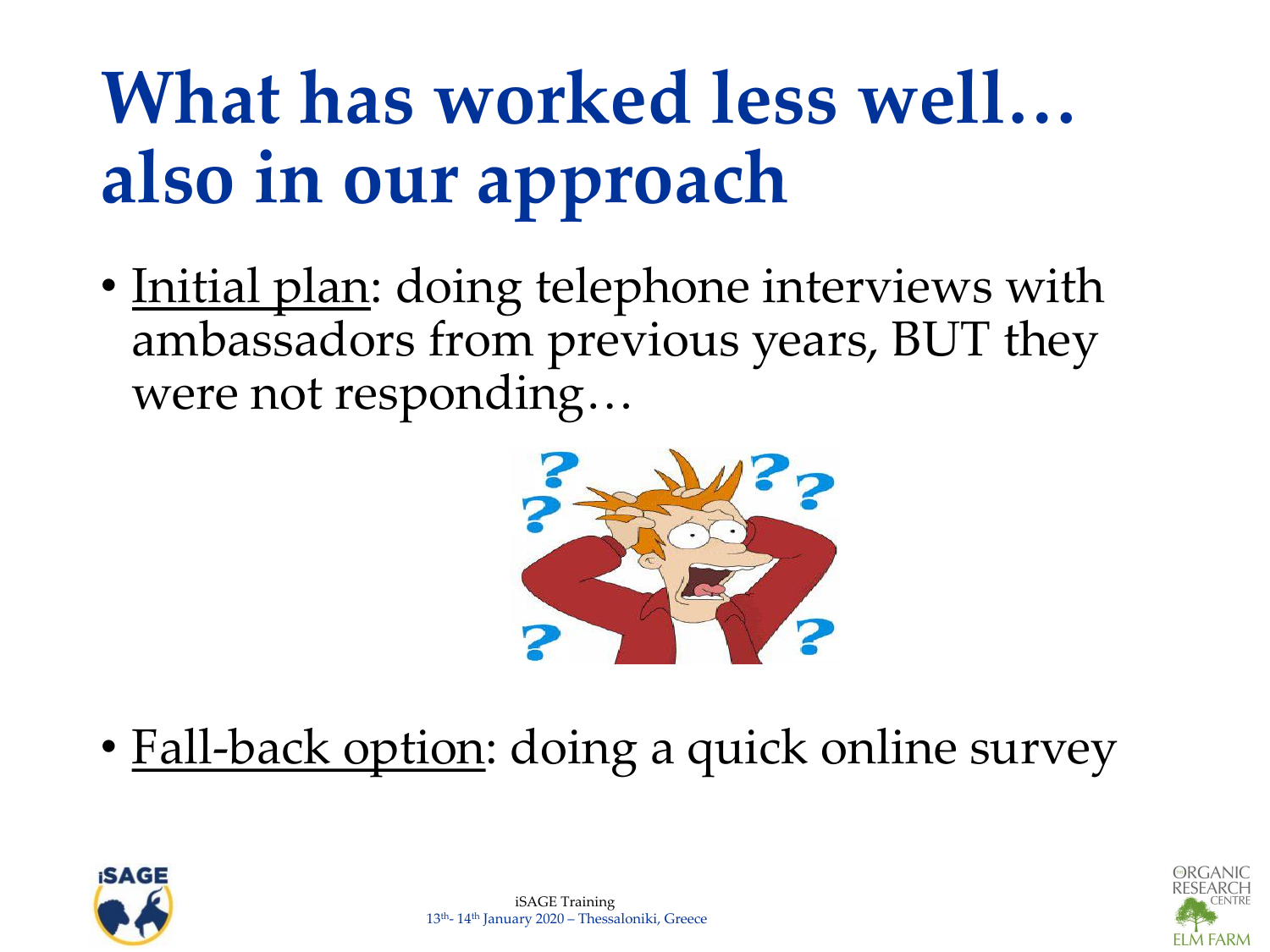# **What has worked less well… also in our approach**

• Initial plan: doing telephone interviews with ambassadors from previous years, BUT they were not responding…



• Fall-back option: doing a quick online survey



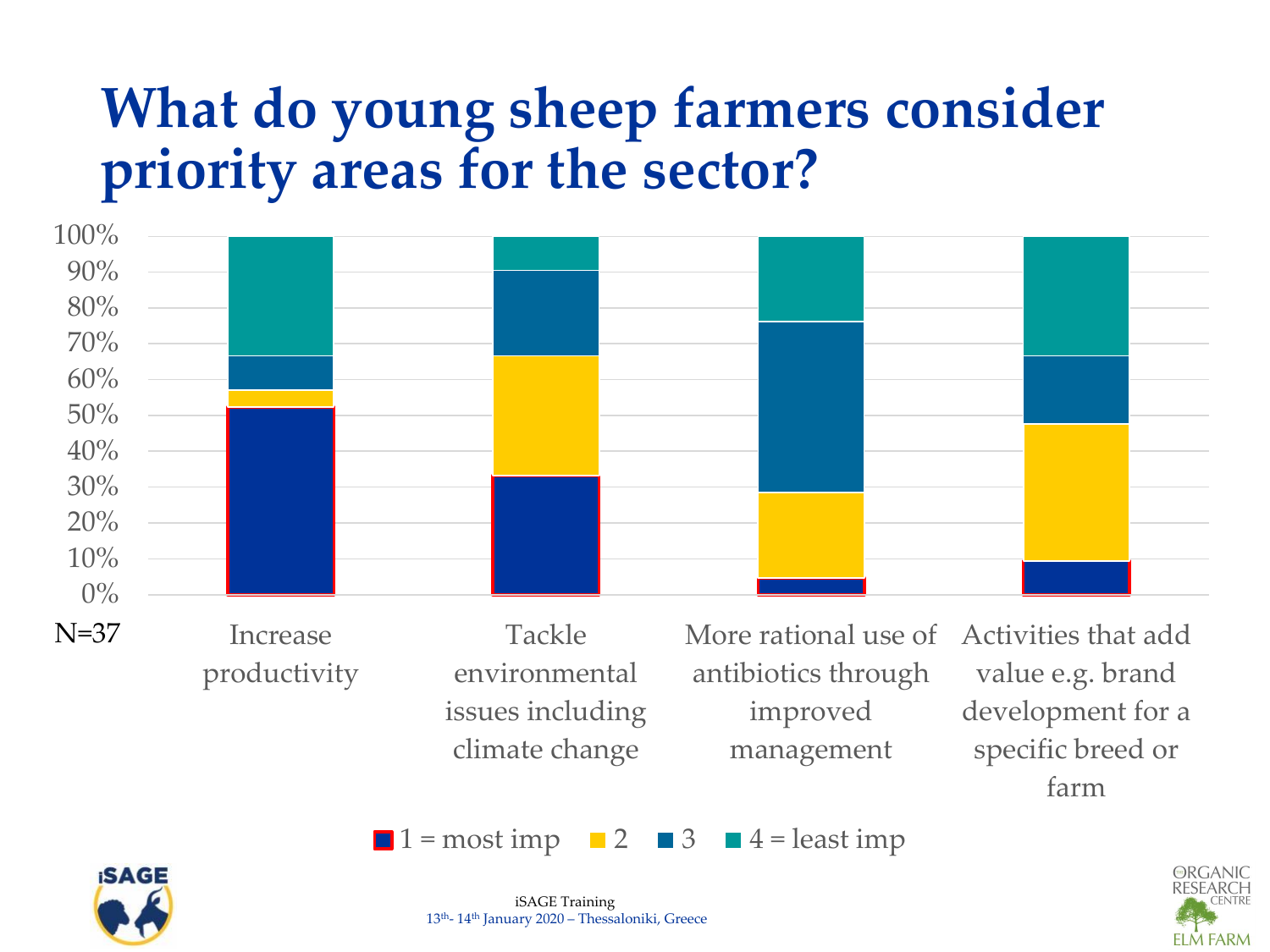#### **What do young sheep farmers consider priority areas for the sector?**



issues including climate change

improved management

value e.g. brand development for a specific breed or farm





 $\blacksquare$  1 = most imp  $\blacksquare$  2  $\blacksquare$  3  $\blacksquare$  4 = least imp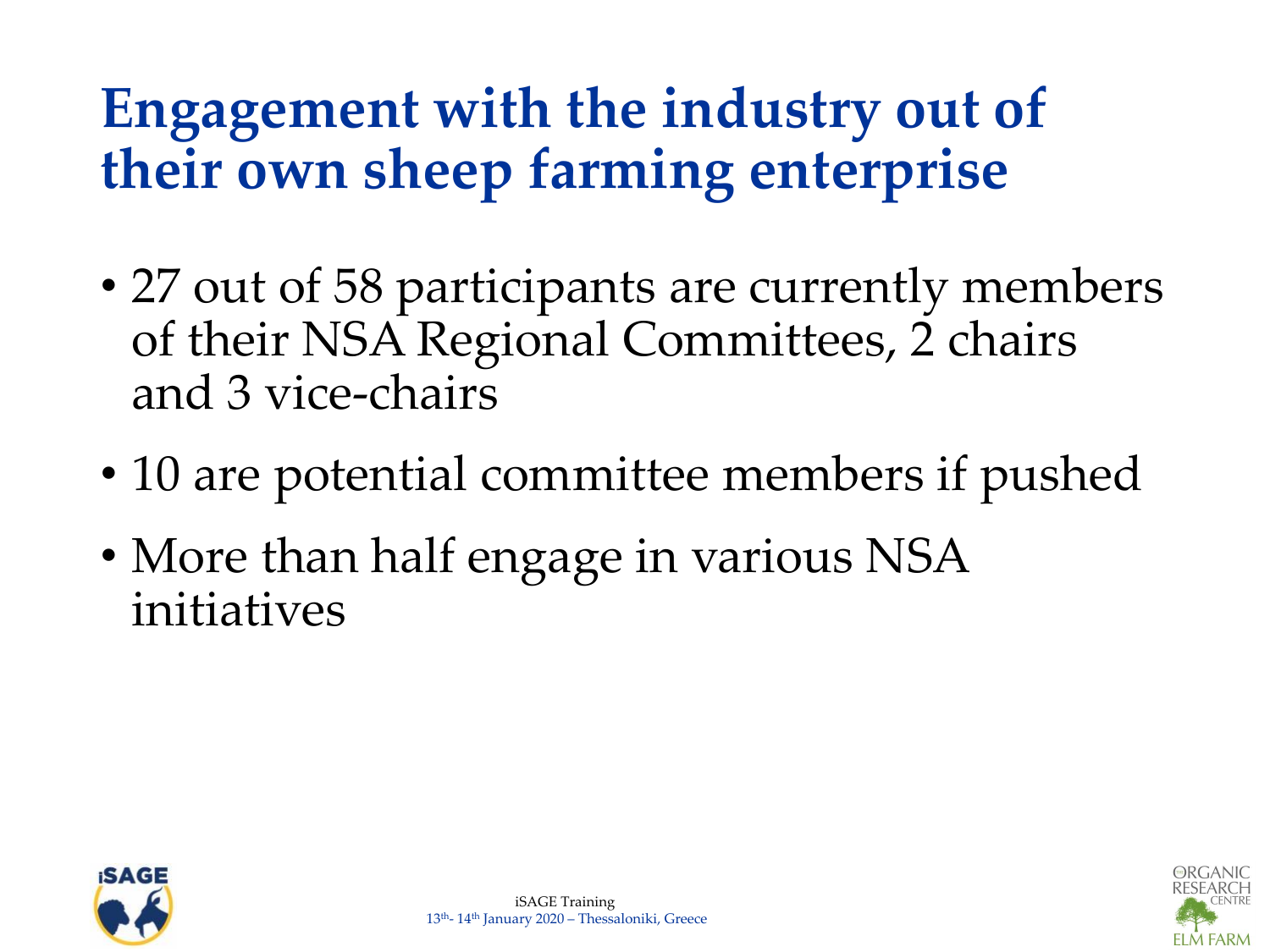#### **Engagement with the industry out of their own sheep farming enterprise**

- 27 out of 58 participants are currently members of their NSA Regional Committees, 2 chairs and 3 vice-chairs
- 10 are potential committee members if pushed
- More than half engage in various NSA initiatives